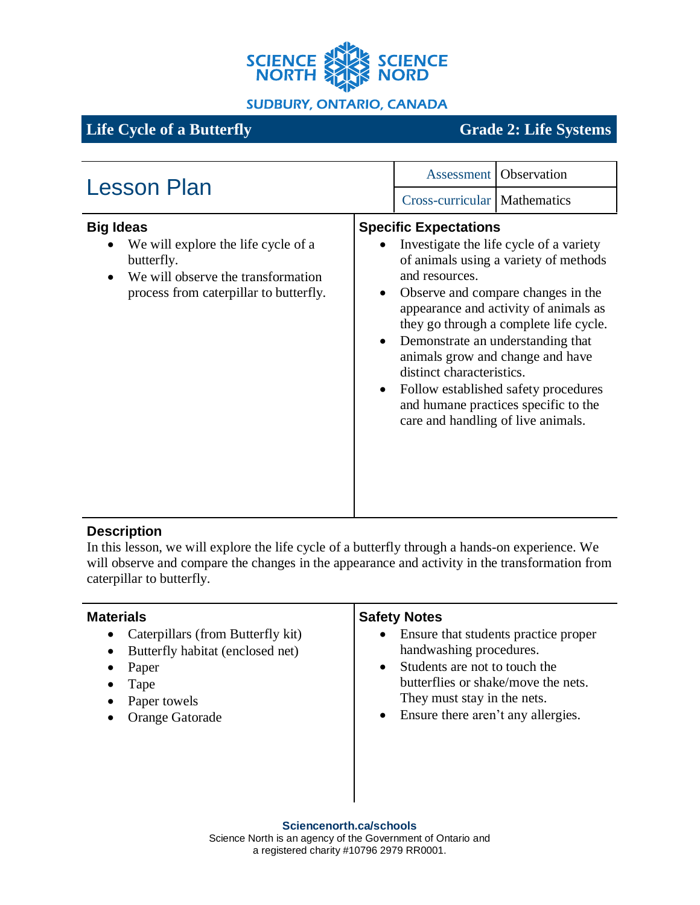

### **SUDBURY, ONTARIO, CANADA**

# **Life Cycle of a Butterfly Grade 2: Life Systems**

| <b>Lesson Plan</b>                                                                                                                                    | <b>Assessment</b> Observation                                                                                                                                                                                                                                                                                                                                                                                                                                                                                                  |
|-------------------------------------------------------------------------------------------------------------------------------------------------------|--------------------------------------------------------------------------------------------------------------------------------------------------------------------------------------------------------------------------------------------------------------------------------------------------------------------------------------------------------------------------------------------------------------------------------------------------------------------------------------------------------------------------------|
|                                                                                                                                                       | Cross-curricular   Mathematics                                                                                                                                                                                                                                                                                                                                                                                                                                                                                                 |
| <b>Big Ideas</b><br>We will explore the life cycle of a<br>butterfly.<br>We will observe the transformation<br>process from caterpillar to butterfly. | <b>Specific Expectations</b><br>Investigate the life cycle of a variety<br>of animals using a variety of methods<br>and resources.<br>Observe and compare changes in the<br>$\bullet$<br>appearance and activity of animals as<br>they go through a complete life cycle.<br>Demonstrate an understanding that<br>$\bullet$<br>animals grow and change and have<br>distinct characteristics.<br>Follow established safety procedures<br>$\bullet$<br>and humane practices specific to the<br>care and handling of live animals. |

## **Description**

In this lesson, we will explore the life cycle of a butterfly through a hands-on experience. We will observe and compare the changes in the appearance and activity in the transformation from caterpillar to butterfly.

| <b>Materials</b>                                                                                                                                                                                | <b>Safety Notes</b>                                                                                                                                                                                                                                 |
|-------------------------------------------------------------------------------------------------------------------------------------------------------------------------------------------------|-----------------------------------------------------------------------------------------------------------------------------------------------------------------------------------------------------------------------------------------------------|
| Caterpillars (from Butterfly kit)<br>$\bullet$<br>Butterfly habitat (enclosed net)<br>$\bullet$<br>Paper<br>٠<br>Tape<br>$\bullet$<br>Paper towels<br>$\bullet$<br>Orange Gatorade<br>$\bullet$ | Ensure that students practice proper<br>$\bullet$<br>handwashing procedures.<br>Students are not to touch the<br>$\bullet$<br>butterflies or shake/move the nets.<br>They must stay in the nets.<br>Ensure there aren't any allergies.<br>$\bullet$ |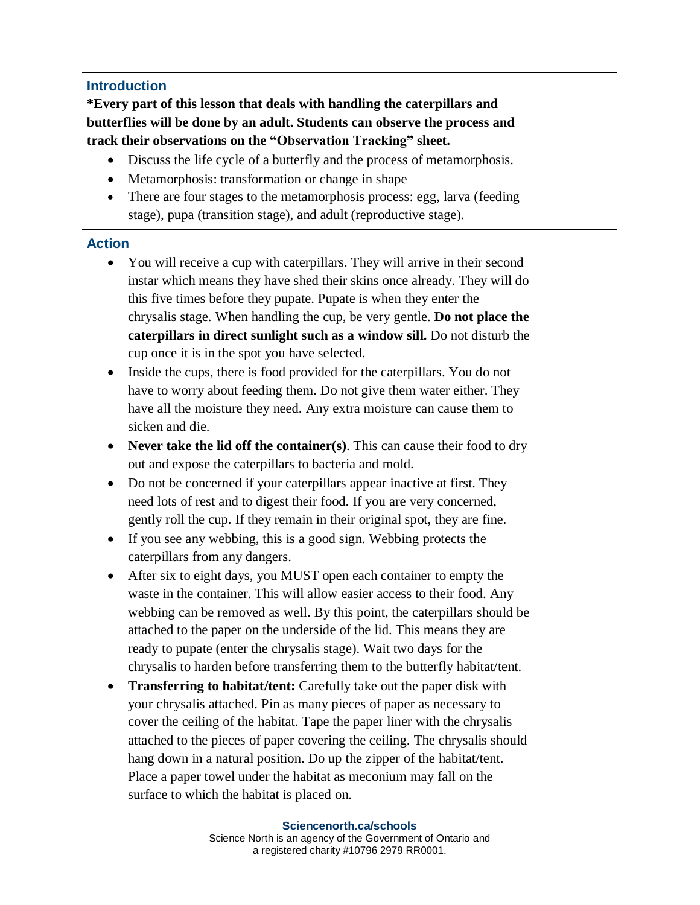## **Introduction**

**\*Every part of this lesson that deals with handling the caterpillars and butterflies will be done by an adult. Students can observe the process and track their observations on the "Observation Tracking" sheet.**

- Discuss the life cycle of a butterfly and the process of metamorphosis.
- Metamorphosis: transformation or change in shape
- There are four stages to the metamorphosis process: egg, larva (feeding stage), pupa (transition stage), and adult (reproductive stage).

#### **Action**

- You will receive a cup with caterpillars. They will arrive in their second instar which means they have shed their skins once already. They will do this five times before they pupate. Pupate is when they enter the chrysalis stage. When handling the cup, be very gentle. **Do not place the caterpillars in direct sunlight such as a window sill.** Do not disturb the cup once it is in the spot you have selected.
- Inside the cups, there is food provided for the caterpillars. You do not have to worry about feeding them. Do not give them water either. They have all the moisture they need. Any extra moisture can cause them to sicken and die.
- **Never take the lid off the container(s)**. This can cause their food to dry out and expose the caterpillars to bacteria and mold.
- Do not be concerned if your caterpillars appear inactive at first. They need lots of rest and to digest their food. If you are very concerned, gently roll the cup. If they remain in their original spot, they are fine.
- If you see any webbing, this is a good sign. Webbing protects the caterpillars from any dangers.
- After six to eight days, you MUST open each container to empty the waste in the container. This will allow easier access to their food. Any webbing can be removed as well. By this point, the caterpillars should be attached to the paper on the underside of the lid. This means they are ready to pupate (enter the chrysalis stage). Wait two days for the chrysalis to harden before transferring them to the butterfly habitat/tent.
- **Transferring to habitat/tent:** Carefully take out the paper disk with your chrysalis attached. Pin as many pieces of paper as necessary to cover the ceiling of the habitat. Tape the paper liner with the chrysalis attached to the pieces of paper covering the ceiling. The chrysalis should hang down in a natural position. Do up the zipper of the habitat/tent. Place a paper towel under the habitat as meconium may fall on the surface to which the habitat is placed on.

#### **Sciencenorth.ca/schools**

Science North is an agency of the Government of Ontario and a registered charity #10796 2979 RR0001.